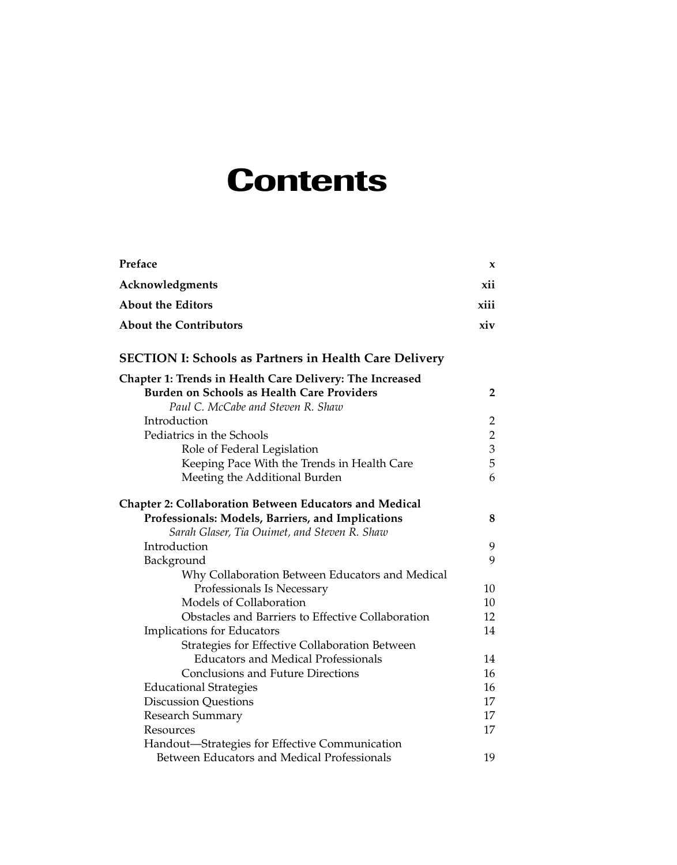## **Contents**

| Preface                                                       | X              |
|---------------------------------------------------------------|----------------|
| Acknowledgments                                               | xii            |
| <b>About the Editors</b>                                      | xiii           |
| <b>About the Contributors</b>                                 | xiv            |
| <b>SECTION I: Schools as Partners in Health Care Delivery</b> |                |
| Chapter 1: Trends in Health Care Delivery: The Increased      |                |
| Burden on Schools as Health Care Providers                    | 2              |
| Paul C. McCabe and Steven R. Shaw                             |                |
| Introduction                                                  | 2              |
| Pediatrics in the Schools                                     | $\overline{2}$ |
| Role of Federal Legislation                                   | 3              |
| Keeping Pace With the Trends in Health Care                   | 5              |
| Meeting the Additional Burden                                 | 6              |
| <b>Chapter 2: Collaboration Between Educators and Medical</b> |                |
| Professionals: Models, Barriers, and Implications             | 8              |
| Sarah Glaser, Tia Ouimet, and Steven R. Shaw                  |                |
| Introduction                                                  | 9              |
| Background                                                    | 9              |
| Why Collaboration Between Educators and Medical               |                |
| Professionals Is Necessary                                    | 10             |
| Models of Collaboration                                       | 10             |
| Obstacles and Barriers to Effective Collaboration             | 12             |
| Implications for Educators                                    | 14             |
| Strategies for Effective Collaboration Between                |                |
| <b>Educators and Medical Professionals</b>                    | 14             |
| <b>Conclusions and Future Directions</b>                      | 16             |
| <b>Educational Strategies</b>                                 | 16             |
| <b>Discussion Questions</b>                                   | 17             |
| Research Summary                                              | 17             |
| Resources                                                     | 17             |
| Handout-Strategies for Effective Communication                |                |
| Between Educators and Medical Professionals                   | 19             |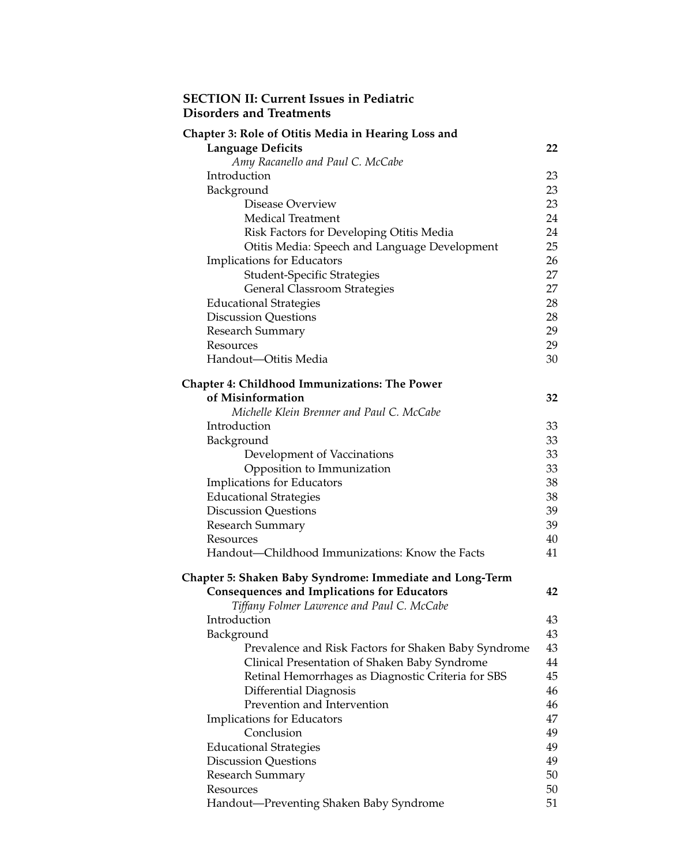## **SECTION II: Current Issues in Pediatric Disorders and Treatments**

| Chapter 3: Role of Otitis Media in Hearing Loss and             |    |
|-----------------------------------------------------------------|----|
| <b>Language Deficits</b>                                        | 22 |
| Amy Racanello and Paul C. McCabe                                |    |
| Introduction                                                    | 23 |
| Background                                                      | 23 |
| Disease Overview                                                | 23 |
| <b>Medical Treatment</b>                                        | 24 |
| Risk Factors for Developing Otitis Media                        | 24 |
| Otitis Media: Speech and Language Development                   | 25 |
| Implications for Educators                                      | 26 |
| <b>Student-Specific Strategies</b>                              | 27 |
| <b>General Classroom Strategies</b>                             | 27 |
| <b>Educational Strategies</b>                                   | 28 |
| <b>Discussion Questions</b>                                     | 28 |
| Research Summary                                                | 29 |
| Resources                                                       | 29 |
| Handout-Otitis Media                                            | 30 |
| <b>Chapter 4: Childhood Immunizations: The Power</b>            |    |
| of Misinformation                                               | 32 |
| Michelle Klein Brenner and Paul C. McCabe                       |    |
| Introduction                                                    | 33 |
| Background                                                      | 33 |
| Development of Vaccinations                                     | 33 |
| Opposition to Immunization                                      | 33 |
| Implications for Educators                                      | 38 |
| <b>Educational Strategies</b>                                   | 38 |
| <b>Discussion Questions</b>                                     | 39 |
| Research Summary                                                | 39 |
| Resources                                                       | 40 |
| Handout—Childhood Immunizations: Know the Facts                 | 41 |
|                                                                 |    |
| <b>Chapter 5: Shaken Baby Syndrome: Immediate and Long-Term</b> |    |
| <b>Consequences and Implications for Educators</b>              | 42 |
| Tiffany Folmer Lawrence and Paul C. McCabe                      |    |
| Introduction                                                    | 43 |
| Background                                                      | 43 |
| Prevalence and Risk Factors for Shaken Baby Syndrome            | 43 |
| Clinical Presentation of Shaken Baby Syndrome                   | 44 |
| Retinal Hemorrhages as Diagnostic Criteria for SBS              | 45 |
| Differential Diagnosis                                          | 46 |
| Prevention and Intervention                                     | 46 |
| Implications for Educators                                      | 47 |
| Conclusion                                                      | 49 |
| <b>Educational Strategies</b>                                   | 49 |
| <b>Discussion Questions</b>                                     | 49 |
| Research Summary                                                | 50 |
| Resources                                                       | 50 |
| Handout-Preventing Shaken Baby Syndrome                         | 51 |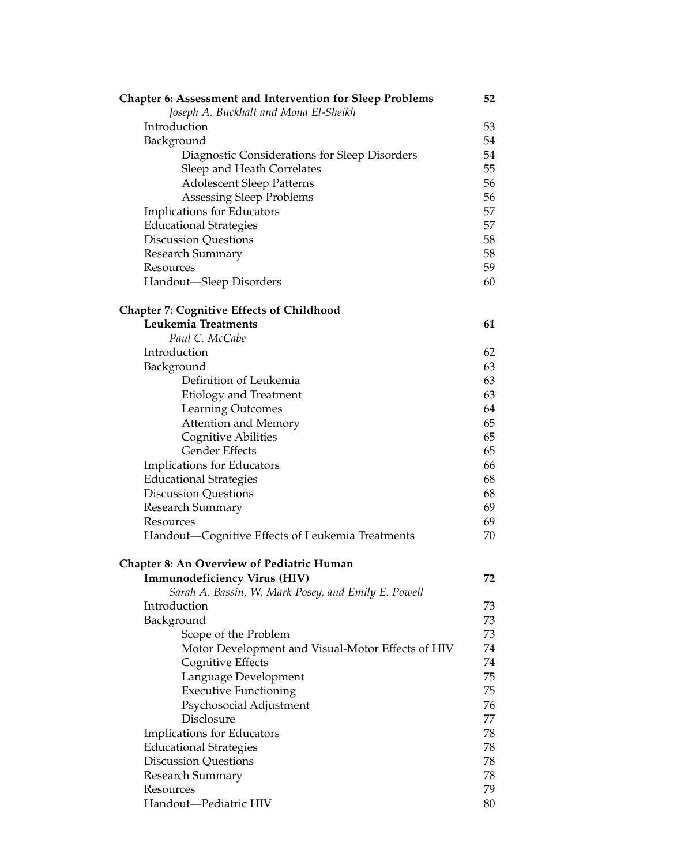| <b>Chapter 6: Assessment and Intervention for Sleep Problems</b> | 52 |
|------------------------------------------------------------------|----|
| Joseph A. Buckhalt and Mona El-Sheikh                            |    |
| Introduction                                                     | 53 |
| Background                                                       | 54 |
| Diagnostic Considerations for Sleep Disorders                    | 54 |
| Sleep and Heath Correlates                                       | 55 |
| <b>Adolescent Sleep Patterns</b>                                 | 56 |
| <b>Assessing Sleep Problems</b>                                  | 56 |
| Implications for Educators                                       | 57 |
| <b>Educational Strategies</b>                                    | 57 |
| <b>Discussion Questions</b>                                      | 58 |
| <b>Research Summary</b>                                          | 58 |
| Resources                                                        | 59 |
| Handout—Sleep Disorders                                          | 60 |
| <b>Chapter 7: Cognitive Effects of Childhood</b>                 |    |
| Leukemia Treatments                                              | 61 |
| Paul C. McCabe                                                   |    |
| Introduction                                                     | 62 |
| Background                                                       | 63 |
| Definition of Leukemia                                           | 63 |
| Etiology and Treatment                                           | 63 |
| Learning Outcomes                                                | 64 |
| <b>Attention and Memory</b>                                      | 65 |
| Cognitive Abilities                                              | 65 |
| <b>Gender Effects</b>                                            | 65 |
| Implications for Educators                                       | 66 |
| <b>Educational Strategies</b>                                    | 68 |
| <b>Discussion Questions</b>                                      | 68 |
| Research Summary                                                 | 69 |
| Resources                                                        | 69 |
| Handout—Cognitive Effects of Leukemia Treatments                 | 70 |
| <b>Chapter 8: An Overview of Pediatric Human</b>                 |    |
| <b>Immunodeficiency Virus (HIV)</b>                              | 72 |
| Sarah A. Bassin, W. Mark Posey, and Emily E. Powell              |    |
| Introduction                                                     | 73 |
| Background                                                       | 73 |
| Scope of the Problem                                             | 73 |
| Motor Development and Visual-Motor Effects of HIV                | 74 |
| Cognitive Effects                                                | 74 |
| Language Development                                             | 75 |
| <b>Executive Functioning</b>                                     | 75 |
| Psychosocial Adjustment                                          | 76 |
| Disclosure                                                       | 77 |
| Implications for Educators                                       | 78 |
| <b>Educational Strategies</b>                                    | 78 |
| <b>Discussion Questions</b>                                      | 78 |
| <b>Research Summary</b>                                          | 78 |
| Resources                                                        | 79 |
| Handout-Pediatric HIV                                            | 80 |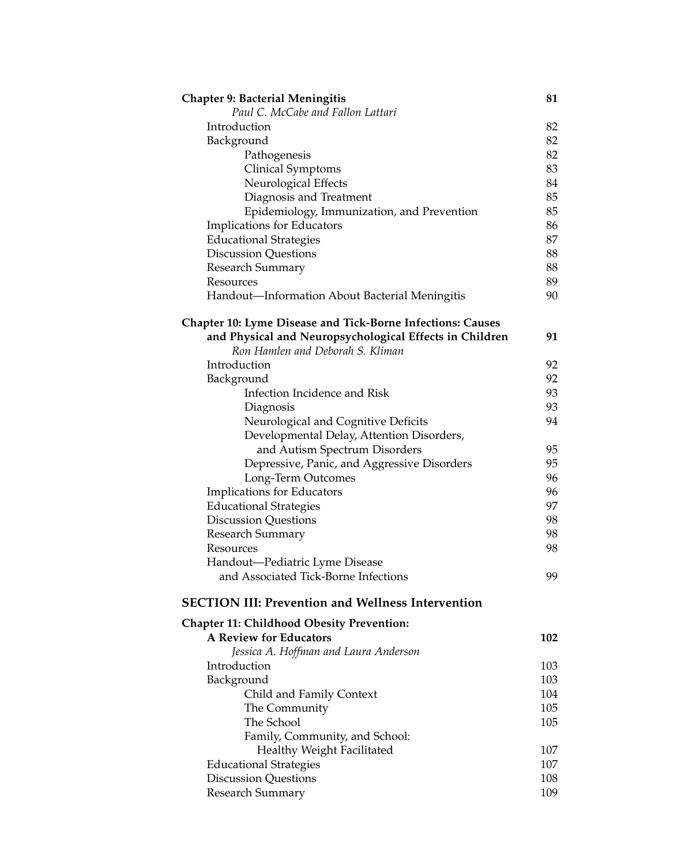| <b>Chapter 9: Bacterial Meningitis</b><br>Paul C. McCabe and Fallon Lattari       | 81  |
|-----------------------------------------------------------------------------------|-----|
| Introduction                                                                      | 82  |
| Background                                                                        | 82  |
| Pathogenesis                                                                      | 82  |
| Clinical Symptoms                                                                 | 83  |
| Neurological Effects                                                              | 84  |
| Diagnosis and Treatment                                                           | 85  |
| Epidemiology, Immunization, and Prevention                                        | 85  |
| Implications for Educators                                                        | 86  |
| <b>Educational Strategies</b>                                                     | 87  |
| <b>Discussion Questions</b>                                                       | 88  |
| <b>Research Summary</b>                                                           | 88  |
| Resources                                                                         | 89  |
| Handout-Information About Bacterial Meningitis                                    | 90  |
| <b>Chapter 10: Lyme Disease and Tick-Borne Infections: Causes</b>                 |     |
| and Physical and Neuropsychological Effects in Children                           | 91  |
| Ron Hamlen and Deborah S. Kliman                                                  |     |
| Introduction                                                                      | 92  |
| Background                                                                        | 92  |
| Infection Incidence and Risk                                                      | 93  |
| Diagnosis                                                                         | 93  |
| Neurological and Cognitive Deficits                                               | 94  |
| Developmental Delay, Attention Disorders,                                         |     |
| and Autism Spectrum Disorders                                                     | 95  |
| Depressive, Panic, and Aggressive Disorders                                       | 95  |
| Long-Term Outcomes                                                                | 96  |
| Implications for Educators                                                        | 96  |
| <b>Educational Strategies</b>                                                     | 97  |
| <b>Discussion Questions</b>                                                       | 98  |
| Research Summary                                                                  | 98  |
| Resources                                                                         | 98  |
| Handout-Pediatric Lyme Disease<br>and Associated Tick-Borne Infections            | 99  |
|                                                                                   |     |
| <b>SECTION III: Prevention and Wellness Intervention</b>                          |     |
| <b>Chapter 11: Childhood Obesity Prevention:</b><br><b>A Review for Educators</b> |     |
|                                                                                   | 102 |
| Jessica A. Hoffman and Laura Anderson<br>Introduction                             |     |
|                                                                                   | 103 |
| Background                                                                        | 103 |
| Child and Family Context                                                          | 104 |
| The Community                                                                     | 105 |
| The School                                                                        | 105 |
| Family, Community, and School:                                                    |     |
| Healthy Weight Facilitated                                                        | 107 |
| <b>Educational Strategies</b>                                                     | 107 |
| <b>Discussion Questions</b>                                                       | 108 |
| Research Summary                                                                  | 109 |